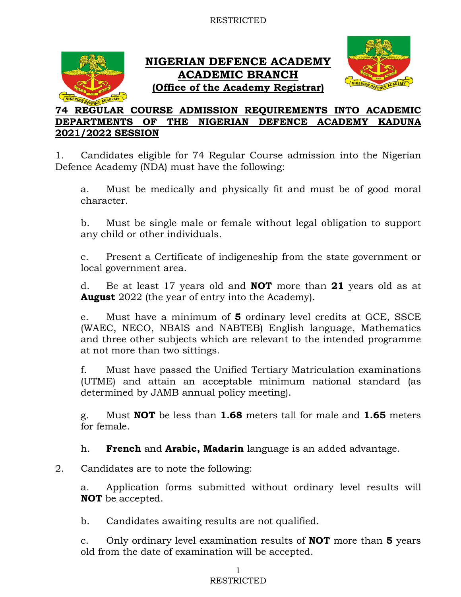

# NIGERIAN DEFENCE ACADEMY ACADEMIC BRANCH (Office of the Academy Registrar)



## 74 REGULAR COURSE ADMISSION REQUIREMENTS INTO ACADEMIC DEPARTMENTS OF THE NIGERIAN DEFENCE ACADEMY KADUNA 2021/2022 SESSION

1. Candidates eligible for 74 Regular Course admission into the Nigerian Defence Academy (NDA) must have the following:

a. Must be medically and physically fit and must be of good moral character.

b. Must be single male or female without legal obligation to support any child or other individuals.

c. Present a Certificate of indigeneship from the state government or local government area.

d. Be at least 17 years old and NOT more than 21 years old as at **August** 2022 (the year of entry into the Academy).

e. Must have a minimum of 5 ordinary level credits at GCE, SSCE (WAEC, NECO, NBAIS and NABTEB) English language, Mathematics and three other subjects which are relevant to the intended programme at not more than two sittings.

f. Must have passed the Unified Tertiary Matriculation examinations (UTME) and attain an acceptable minimum national standard (as determined by JAMB annual policy meeting).

g. Must NOT be less than 1.68 meters tall for male and 1.65 meters for female.

h. **French** and **Arabic, Madarin** language is an added advantage.

2. Candidates are to note the following:

a. Application forms submitted without ordinary level results will NOT be accepted.

b. Candidates awaiting results are not qualified.

c. Only ordinary level examination results of **NOT** more than **5** years old from the date of examination will be accepted.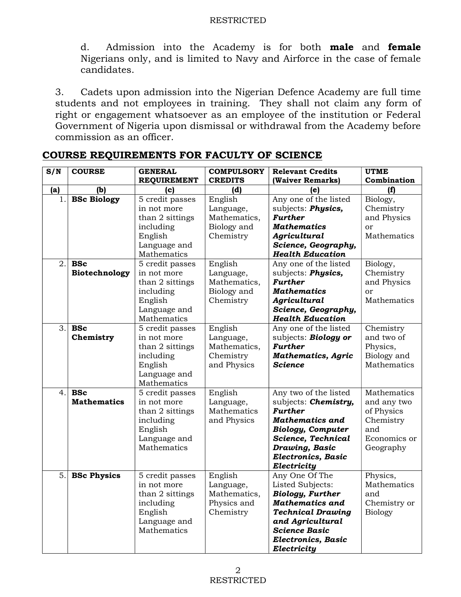d. Admission into the Academy is for both male and female Nigerians only, and is limited to Navy and Airforce in the case of female candidates.

3. Cadets upon admission into the Nigerian Defence Academy are full time students and not employees in training. They shall not claim any form of right or engagement whatsoever as an employee of the institution or Federal Government of Nigeria upon dismissal or withdrawal from the Academy before commission as an officer.

| S/N | <b>COURSE</b>      | <b>GENERAL</b>     | <b>COMPULSORY</b> | <b>Relevant Credits</b>   | <b>UTME</b>    |
|-----|--------------------|--------------------|-------------------|---------------------------|----------------|
|     |                    | <b>REQUIREMENT</b> | <b>CREDITS</b>    | (Waiver Remarks)          | Combination    |
| (a) | (b)                | (c)                | (d)               | (e)                       | (f)            |
| 1.  | <b>BSc Biology</b> | 5 credit passes    | English           | Any one of the listed     | Biology,       |
|     |                    | in not more        | Language,         | subjects: Physics,        | Chemistry      |
|     |                    | than 2 sittings    | Mathematics,      | <b>Further</b>            | and Physics    |
|     |                    | including          | Biology and       | <b>Mathematics</b>        | or             |
|     |                    | English            | Chemistry         | Agricultural              | Mathematics    |
|     |                    | Language and       |                   | Science, Geography,       |                |
|     |                    | Mathematics        |                   | <b>Health Education</b>   |                |
| 2.  | <b>BSc</b>         | 5 credit passes    | English           | Any one of the listed     | Biology,       |
|     | Biotechnology      | in not more        | Language,         | subjects: Physics,        | Chemistry      |
|     |                    | than 2 sittings    | Mathematics,      | <b>Further</b>            | and Physics    |
|     |                    | including          | Biology and       | <b>Mathematics</b>        | or             |
|     |                    | English            | Chemistry         | Agricultural              | Mathematics    |
|     |                    | Language and       |                   | Science, Geography,       |                |
|     |                    | Mathematics        |                   | <b>Health Education</b>   |                |
| 3.  | <b>BSc</b>         | 5 credit passes    | English           | Any one of the listed     | Chemistry      |
|     | Chemistry          | in not more        | Language,         | subjects: Biology or      | and two of     |
|     |                    | than 2 sittings    | Mathematics,      | <b>Further</b>            | Physics,       |
|     |                    | including          | Chemistry         | <b>Mathematics, Agric</b> | Biology and    |
|     |                    | English            | and Physics       | <b>Science</b>            | Mathematics    |
|     |                    | Language and       |                   |                           |                |
|     |                    | Mathematics        |                   |                           |                |
| 4.  | <b>BSc</b>         | 5 credit passes    | English           | Any two of the listed     | Mathematics    |
|     | <b>Mathematics</b> | in not more        | Language,         | subjects: Chemistry,      | and any two    |
|     |                    | than 2 sittings    | Mathematics       | <b>Further</b>            | of Physics     |
|     |                    | including          | and Physics       | <b>Mathematics and</b>    | Chemistry      |
|     |                    | English            |                   | <b>Biology, Computer</b>  | and            |
|     |                    | Language and       |                   | Science, Technical        | Economics or   |
|     |                    | Mathematics        |                   | Drawing, Basic            | Geography      |
|     |                    |                    |                   | Electronics, Basic        |                |
|     |                    |                    |                   | Electricity               |                |
| 5.  | <b>BSc Physics</b> | 5 credit passes    | English           | Any One Of The            | Physics,       |
|     |                    | in not more        | Language,         | Listed Subjects:          | Mathematics    |
|     |                    | than 2 sittings    | Mathematics,      | <b>Biology, Further</b>   | and            |
|     |                    | including          | Physics and       | <b>Mathematics and</b>    | Chemistry or   |
|     |                    | English            | Chemistry         | <b>Technical Drawing</b>  | <b>Biology</b> |
|     |                    | Language and       |                   | and Agricultural          |                |
|     |                    | Mathematics        |                   | <b>Science Basic</b>      |                |
|     |                    |                    |                   | Electronics, Basic        |                |
|     |                    |                    |                   | Electricity               |                |

COURSE REQUIREMENTS FOR FACULTY OF SCIENCE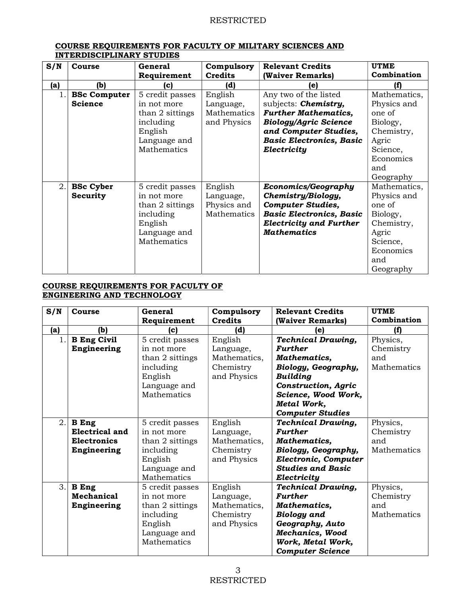| S/N | Course              | General         | Compulsory     | <b>Relevant Credits</b>         | <b>UTME</b>  |
|-----|---------------------|-----------------|----------------|---------------------------------|--------------|
|     |                     |                 |                |                                 | Combination  |
|     |                     | Requirement     | <b>Credits</b> | (Waiver Remarks)                |              |
| (a) | (b)                 | (c)             | (d)            | le)                             | (f)          |
| 1.  | <b>BSc Computer</b> | 5 credit passes | English        | Any two of the listed           | Mathematics, |
|     | <b>Science</b>      | in not more     | Language,      | subjects: <b>Chemistry</b> ,    | Physics and  |
|     |                     | than 2 sittings | Mathematics    | <b>Further Mathematics,</b>     | one of       |
|     |                     | including       | and Physics    | <b>Biology/Agric Science</b>    | Biology,     |
|     |                     | English         |                | and Computer Studies,           | Chemistry,   |
|     |                     | Language and    |                | <b>Basic Electronics, Basic</b> | Agric        |
|     |                     | Mathematics     |                | Electricity                     | Science,     |
|     |                     |                 |                |                                 | Economics    |
|     |                     |                 |                |                                 | and          |
|     |                     |                 |                |                                 | Geography    |
| 2.  | <b>BSc Cyber</b>    | 5 credit passes | English        | Economics/Geography             | Mathematics, |
|     | Security            | in not more     | Language,      | Chemistry/Biology,              | Physics and  |
|     |                     | than 2 sittings | Physics and    | <b>Computer Studies,</b>        | one of       |
|     |                     | including       | Mathematics    | <b>Basic Electronics, Basic</b> | Biology,     |
|     |                     | English         |                | <b>Electricity and Further</b>  | Chemistry,   |
|     |                     | Language and    |                | <b>Mathematics</b>              | Agric        |
|     |                     | Mathematics     |                |                                 | Science,     |
|     |                     |                 |                |                                 | Economics    |
|     |                     |                 |                |                                 | and          |
|     |                     |                 |                |                                 | Geography    |

#### COURSE REQUIREMENTS FOR FACULTY OF MILITARY SCIENCES AND INTERDISCIPLINARY STUDIES

#### COURSE REQUIREMENTS FOR FACULTY OF ENGINEERING AND TECHNOLOGY

| S/N | <b>Course</b>         | General         | Compulsory     | <b>Relevant Credits</b>    | <b>UTME</b>        |
|-----|-----------------------|-----------------|----------------|----------------------------|--------------------|
|     |                       | Requirement     | <b>Credits</b> | (Waiver Remarks)           | Combination        |
| (a) | (b)                   | (c)             | (d)            | (e)                        | ſfì                |
| 1.  | <b>B</b> Eng Civil    | 5 credit passes | English        | <b>Technical Drawing,</b>  | Physics,           |
|     | Engineering           | in not more     | Language,      | <b>Further</b>             | Chemistry          |
|     |                       | than 2 sittings | Mathematics,   | Mathematics,               | and                |
|     |                       | including       | Chemistry      | Biology, Geography,        | Mathematics        |
|     |                       | English         | and Physics    | <b>Building</b>            |                    |
|     |                       | Language and    |                | <b>Construction, Agric</b> |                    |
|     |                       | Mathematics     |                | Science, Wood Work,        |                    |
|     |                       |                 |                | Metal Work,                |                    |
|     |                       |                 |                | <b>Computer Studies</b>    |                    |
| 2.  | <b>B</b> Eng          | 5 credit passes | English        | <b>Technical Drawing,</b>  | Physics,           |
|     | <b>Electrical and</b> | in not more     | Language,      | <b>Further</b>             | Chemistry          |
|     | <b>Electronics</b>    | than 2 sittings | Mathematics,   | Mathematics,               | and                |
|     | Engineering           | including       | Chemistry      | Biology, Geography,        | Mathematics        |
|     |                       | English         | and Physics    | Electronic, Computer       |                    |
|     |                       | Language and    |                | <b>Studies and Basic</b>   |                    |
|     |                       | Mathematics     |                | Electricity                |                    |
| 3.  | <b>B</b> Eng          | 5 credit passes | English        | <b>Technical Drawing,</b>  | Physics,           |
|     | Mechanical            | in not more     | Language,      | <b>Further</b>             | Chemistry          |
|     | Engineering           | than 2 sittings | Mathematics,   | Mathematics,               | and                |
|     |                       | including       | Chemistry      | <b>Biology</b> and         | <b>Mathematics</b> |
|     |                       | English         | and Physics    | Geography, Auto            |                    |
|     |                       | Language and    |                | Mechanics, Wood            |                    |
|     |                       | Mathematics     |                | Work, Metal Work,          |                    |
|     |                       |                 |                | <b>Computer Science</b>    |                    |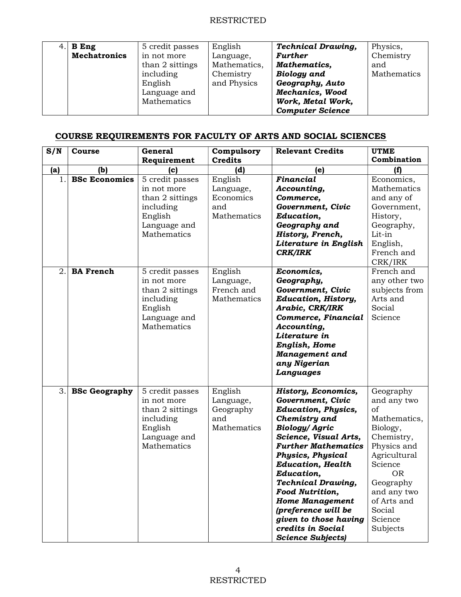| $4.$ B Eng          | 5 credit passes | English      | <b>Technical Drawing,</b> | Physics,    |
|---------------------|-----------------|--------------|---------------------------|-------------|
| <b>Mechatronics</b> | in not more     | Language,    | <b>Further</b>            | Chemistry   |
|                     | than 2 sittings | Mathematics, | Mathematics,              | and         |
|                     | including       | Chemistry    | <b>Biology</b> and        | Mathematics |
|                     | English         | and Physics  | Geography, Auto           |             |
|                     | Language and    |              | <b>Mechanics, Wood</b>    |             |
|                     | Mathematics     |              | Work, Metal Work,         |             |
|                     |                 |              | <b>Computer Science</b>   |             |

## COURSE REQUIREMENTS FOR FACULTY OF ARTS AND SOCIAL SCIENCES

| S/N | Course               | General                                                                                                  | Compulsory                                              | <b>Relevant Credits</b>                                                                                                                                                                                                                                                                                                                                                                                                                 | <b>UTME</b>                                                                                                                                                                                                 |
|-----|----------------------|----------------------------------------------------------------------------------------------------------|---------------------------------------------------------|-----------------------------------------------------------------------------------------------------------------------------------------------------------------------------------------------------------------------------------------------------------------------------------------------------------------------------------------------------------------------------------------------------------------------------------------|-------------------------------------------------------------------------------------------------------------------------------------------------------------------------------------------------------------|
|     |                      | Requirement                                                                                              | <b>Credits</b>                                          |                                                                                                                                                                                                                                                                                                                                                                                                                                         | Combination                                                                                                                                                                                                 |
| (a) | (b)                  | (c)                                                                                                      | (d)                                                     | (e)                                                                                                                                                                                                                                                                                                                                                                                                                                     | (f)                                                                                                                                                                                                         |
| 1.  | <b>BSc Economics</b> | 5 credit passes<br>in not more<br>than 2 sittings<br>including<br>English<br>Language and<br>Mathematics | English<br>Language,<br>Economics<br>and<br>Mathematics | Financial<br>Accounting,<br>Commerce,<br>Government, Civic<br>Education,<br>Geography and<br>History, French,<br>Literature in English<br><b>CRK/IRK</b>                                                                                                                                                                                                                                                                                | Economics,<br>Mathematics<br>and any of<br>Government,<br>History,<br>Geography,<br>Lit-in<br>English,<br>French and<br>CRK/IRK                                                                             |
| 2.  | <b>BA French</b>     | 5 credit passes<br>in not more<br>than 2 sittings<br>including<br>English<br>Language and<br>Mathematics | English<br>Language,<br>French and<br>Mathematics       | Economics,<br>Geography,<br>Government, Civic<br><b>Education, History,</b><br>Arabic, CRK/IRK<br>Commerce, Financial<br>Accounting,<br>Literature in<br>English, Home<br><b>Management</b> and<br>any Nigerian<br>Languages                                                                                                                                                                                                            | French and<br>any other two<br>subjects from<br>Arts and<br>Social<br>Science                                                                                                                               |
| 3.  | <b>BSc Geography</b> | 5 credit passes<br>in not more<br>than 2 sittings<br>including<br>English<br>Language and<br>Mathematics | English<br>Language,<br>Geography<br>and<br>Mathematics | <b>History, Economics,</b><br>Government, Civic<br><b>Education, Physics,</b><br>Chemistry and<br><b>Biology/ Agric</b><br>Science, Visual Arts,<br><b>Further Mathematics</b><br><b>Physics, Physical</b><br><b>Education, Health</b><br>Education,<br><b>Technical Drawing,</b><br><b>Food Nutrition,</b><br><b>Home Management</b><br>(preference will be<br>given to those having<br>credits in Social<br><b>Science Subjects</b> ) | Geography<br>and any two<br>of<br>Mathematics,<br>Biology,<br>Chemistry,<br>Physics and<br>Agricultural<br>Science<br><b>OR</b><br>Geography<br>and any two<br>of Arts and<br>Social<br>Science<br>Subjects |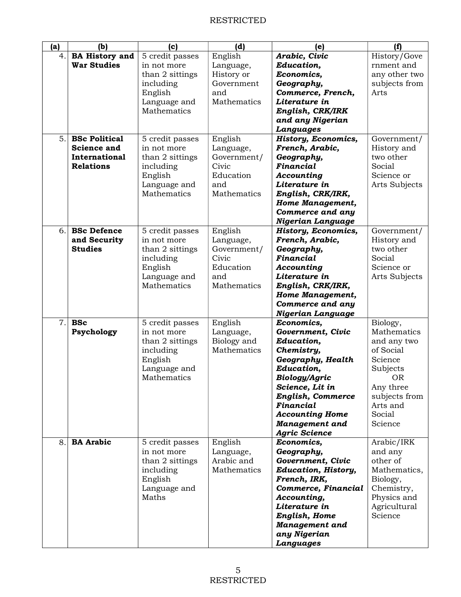| (a) | (b)                   | (c)             | (d)         | (e)                              | (f)                       |
|-----|-----------------------|-----------------|-------------|----------------------------------|---------------------------|
| 4.  | <b>BA History and</b> | 5 credit passes | English     | Arabic, Civic                    | History/Gove              |
|     | <b>War Studies</b>    | in not more     | Language,   | Education,                       | rnment and                |
|     |                       | than 2 sittings | History or  | Economics,                       | any other two             |
|     |                       | including       | Government  | Geography,                       | subjects from             |
|     |                       | English         | and         | Commerce, French,                | Arts                      |
|     |                       | Language and    | Mathematics | Literature in                    |                           |
|     |                       | Mathematics     |             | English, CRK/IRK                 |                           |
|     |                       |                 |             | and any Nigerian                 |                           |
|     |                       |                 |             | Languages                        |                           |
| 5.  | <b>BSc Political</b>  |                 |             |                                  |                           |
|     |                       | 5 credit passes | English     | <b>History, Economics,</b>       | Government/               |
|     | <b>Science and</b>    | in not more     | Language,   | French, Arabic,                  | History and               |
|     | International         | than 2 sittings | Government/ | Geography,                       | two other                 |
|     | <b>Relations</b>      | including       | Civic       | Financial                        | Social                    |
|     |                       | English         | Education   | Accounting                       | Science or                |
|     |                       | Language and    | and         | Literature in                    | Arts Subjects             |
|     |                       | Mathematics     | Mathematics | English, CRK/IRK,                |                           |
|     |                       |                 |             | Home Management,                 |                           |
|     |                       |                 |             | Commerce and any                 |                           |
|     |                       |                 |             | <b>Nigerian Language</b>         |                           |
| 6.  | <b>BSc Defence</b>    | 5 credit passes | English     | <b>History, Economics,</b>       | Government/               |
|     | and Security          | in not more     | Language,   | French, Arabic,                  | History and               |
|     | <b>Studies</b>        | than 2 sittings | Government/ | Geography,                       | two other                 |
|     |                       | including       | Civic       | Financial                        | Social                    |
|     |                       | English         | Education   | Accounting                       | Science or                |
|     |                       | Language and    | and         | Literature in                    | Arts Subjects             |
|     |                       | Mathematics     | Mathematics | English, CRK/IRK,                |                           |
|     |                       |                 |             | Home Management,                 |                           |
|     |                       |                 |             | Commerce and any                 |                           |
|     |                       |                 |             | Nigerian Language                |                           |
| 7.  | <b>BSc</b>            | 5 credit passes | English     | Economics,                       | Biology,                  |
|     | Psychology            | in not more     | Language,   | Government, Civic                | Mathematics               |
|     |                       | than 2 sittings | Biology and | Education,                       | and any two               |
|     |                       | including       | Mathematics | Chemistry,                       | of Social                 |
|     |                       | English         |             | Geography, Health                | Science                   |
|     |                       | Language and    |             | Education,                       | Subjects                  |
|     |                       | Mathematics     |             |                                  | 0 <sub>R</sub>            |
|     |                       |                 |             | Biology/Agric<br>Science, Lit in | Any three                 |
|     |                       |                 |             | English, Commerce                |                           |
|     |                       |                 |             | Financial                        | subjects from<br>Arts and |
|     |                       |                 |             |                                  |                           |
|     |                       |                 |             | <b>Accounting Home</b>           | Social                    |
|     |                       |                 |             | <b>Management</b> and            | Science                   |
|     |                       |                 |             | <b>Agric Science</b>             |                           |
| 8.  | <b>BA Arabic</b>      | 5 credit passes | English     | Economics,                       | Arabic/IRK                |
|     |                       | in not more     | Language,   | Geography,                       | and any                   |
|     |                       | than 2 sittings | Arabic and  | Government, Civic                | other of                  |
|     |                       | including       | Mathematics | <b>Education, History,</b>       | Mathematics,              |
|     |                       | English         |             | French, IRK,                     | Biology,                  |
|     |                       | Language and    |             | Commerce, Financial              | Chemistry,                |
|     |                       | Maths           |             | Accounting,                      | Physics and               |
|     |                       |                 |             | Literature in                    | Agricultural              |
|     |                       |                 |             | English, Home                    | Science                   |
|     |                       |                 |             | <b>Management</b> and            |                           |
|     |                       |                 |             | any Nigerian                     |                           |
|     |                       |                 |             | Languages                        |                           |
|     |                       |                 |             |                                  |                           |